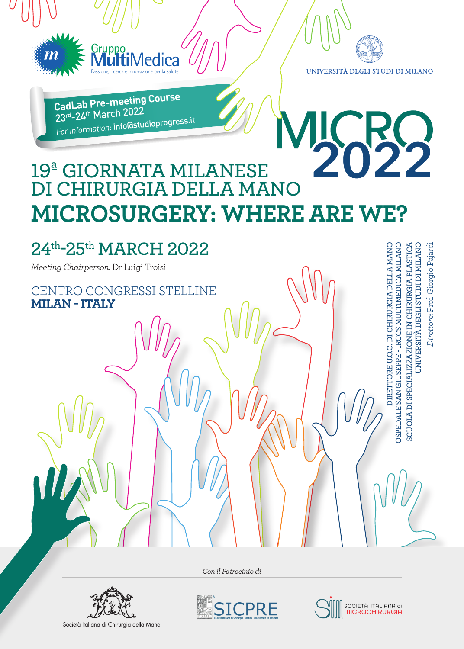

Gruppo,<br>MultiMedica

# MICRO **19ª GIORNATA MILANESE DI CHIRURGIA DELLA MANO MICROSURGERY: WHERE ARE WE?**

# **24th-25th MARCH 2022**

*Meeting Chairperson:* Dr Luigi Troisi

CENTRO CONGRESSI STELLINE **MILAN - ITALY**

*Con il Patrocinio di*



Società Italiana di Chirurgia della Mano





OKRIDALE SAN GIUSEPPE - IRCCS MULTIMEDICA MILANO SCUOLA DI SPECIALIZZAZIONE IN CHIRURGIA PLASTICA **SCUOLA DI SPECIALIZZAZIONE IN CHIRURGIA PLASTICA JNIVERSITÀ DEGLI STUDI DI MILANO OSPEDALE SAN GIUSEPPE - IRCCS MULTIMEDICA MILANO UNIVERSITÀ DEGLI STUDI DI MILANO**

**DIRETTORE U.O.C. DI CHIRURGIA DELLA MANO**

DIRETTORE U.O.C. DI CHIRURGIA DELLA MANO

UNIVERSITÀ DEGLI STUDI DI MILANO

*Direttore:* Prof. Giorgio Pajardi Direttore: Prof. Giorgio Pajardi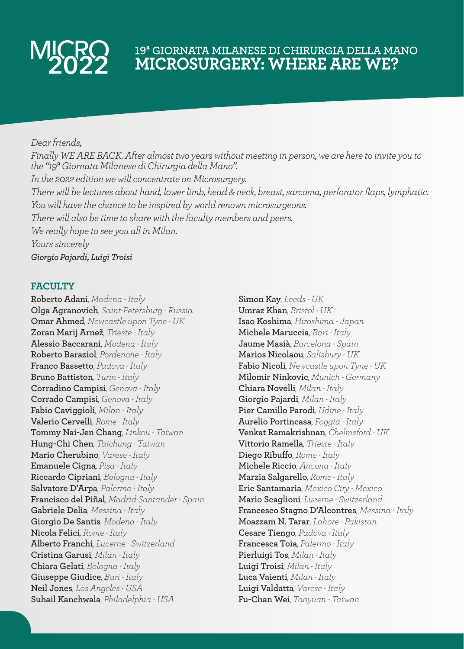### 19<sup>ª</sup> GIORNATA MILANESE DI CHIRURGIA DELLA MANO **MICROSURGERY: WHERE ARE WE?**

#### *Dear friends,*

*Finally WE ARE BACK. After almost two years without meeting in person, we are here to invite you to the "19ª Giornata Milanese di Chirurgia della Mano". In the 2022 edition we will concentrate on Microsurgery. There will be lectures about hand, lower limb, head & neck, breast, sarcoma, perforator flaps, lymphatic. You will have the chance to be inspired by world renown microsurgeons. There will also be time to share with the faculty members and peers. We really hope to see you all in Milan. Yours sincerely Giorgio Pajardi, Luigi Troisi*

#### **FACULTY**

**Roberto Adani***, Modena - Italy* **Olga Agranovich***, Saint-Petersburg - Russia* **Omar Ahmed***, Newcastle upon Tyne - UK* **Zoran Marij Arnež***, Trieste - Italy* **Alessio Baccarani***, Modena - Italy* **Roberto Baraziol***, Pordenone - Italy* **Franco Bassetto***, Padova - Italy* **Bruno Battiston***, Turin - Italy* **Corradino Campisi***, Genova - Italy* **Corrado Campisi***, Genova - Italy* **Fabio Caviggioli***, Milan - Italy* **Valerio Cervelli***, Rome - Italy* **Tommy Nai-Jen Chang***, Linkou - Taiwan* **Hung-Chi Chen***, Taichung - Taiwan* **Mario Cherubino***, Varese - Italy* **Emanuele Cigna***, Pisa - Italy* **Riccardo Cipriani***, Bologna - Italy* **Salvatore D'Arpa***, Palermo - Italy* **Francisco del Piñal***, Madrid-Santander - Spain* **Gabriele Delia***, Messina - Italy* **Giorgio De Santis***, Modena - Italy* **Nicola Felici***, Rome - Italy* **Alberto Franchi***, Lucerne - Switzerland* **Cristina Garusi***, Milan - Italy* **Chiara Gelati***, Bologna - Italy* **Giuseppe Giudice***, Bari - Italy* **Neil Jones***, Los Angeles - USA* **Suhail Kanchwala***, Philadelphia - USA*

**Simon Kay***, Leeds - UK* **Umraz Khan***, Bristol - UK* **Isao Koshima***, Hiroshima - Japan* **Michele Maruccia***, Bari - Italy* **Jaume Masià***, Barcelona - Spain* **Marios Nicolaou***, Salisbury - UK* **Fabio Nicoli***, Newcastle upon Tyne - UK* **Milomir Ninkovic***, Munich - Germany* **Chiara Novelli***, Milan - Italy* **Giorgio Pajardi***, Milan - Italy* **Pier Camillo Parodi***, Udine - Italy* **Aurelio Portincasa***, Foggia - Italy* **Venkat Ramakrishnan***, Chelmsford - UK* **Vittorio Ramella***, Trieste - Italy* **Diego Ribuffo***, Rome - Italy* **Michele Riccio***, Ancona - Italy* **Marzia Salgarello***, Rome - Italy* **Eric Santamaria***, Mexico City - Mexico* **Mario Scaglioni***, Lucerne - Switzerland* **Francesco Stagno D'Alcontres***, Messina - Italy* **Moazzam N. Tarar***, Lahore - Pakistan* **Cesare Tiengo***, Padova - Italy* **Francesca Toia***, Palermo - Italy* **Pierluigi Tos***, Milan - Italy* **Luigi Troisi***, Milan - Italy* **Luca Vaienti***, Milan - Italy* **Luigi Valdatta***, Varese - Italy* **Fu-Chan Wei***, Taoyuan - Taiwan*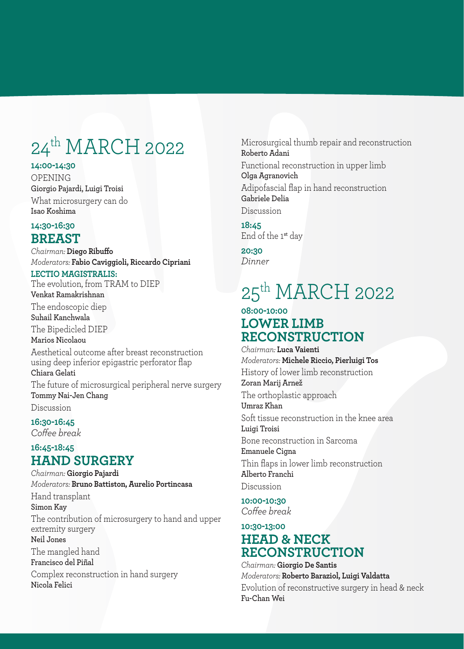# 24th MARCH 2022

#### **14:00-14:30**

OPENING **Giorgio Pajardi, Luigi Troisi** What microsurgery can do **Isao Koshima**

#### **14:30-16:30 BREAST**

*Chairman:* **Diego Ribuffo** *Moderators:* **Fabio Caviggioli, Riccardo Cipriani**

#### **LECTIO MAGISTRALIS:**

The evolution, from TRAM to DIEP **Venkat Ramakrishnan**

The endoscopic diep **Suhail Kanchwala**

The Bipedicled DIEP

**Marios Nicolaou**

Aesthetical outcome after breast reconstruction using deep inferior epigastric perforator flap **Chiara Gelati**

The future of microsurgical peripheral nerve surgery **Tommy Nai-Jen Chang**

Discussion

**16:30-16:45**  *Coffee break*

#### **16:45-18:45 HAND SURGERY**

*Chairman:* **Giorgio Pajardi** *Moderators:* **Bruno Battiston, Aurelio Portincasa** Hand transplant

**Simon Kay** The contribution of microsurgery to hand and upper extremity surgery **Neil Jones**

The mangled hand **Francisco del Piñal**

Complex reconstruction in hand surgery **Nicola Felici**

Microsurgical thumb repair and reconstruction **Roberto Adani** Functional reconstruction in upper limb **Olga Agranovich** Adipofascial flap in hand reconstruction **Gabriele Delia** Discussion

**18:45**  End of the 1**st** day

**20:30** *Dinner*

## 25<sup>th</sup> MARCH 2022 **08:00-10:00 LOWER LIMB**

# **RECONSTRUCTION**

*Chairman:* **Luca Vaienti** *Moderators:* **Michele Riccio, Pierluigi Tos** History of lower limb reconstruction **Zoran Marij Arnež** The orthoplastic approach **Umraz Khan** Soft tissue reconstruction in the knee area **Luigi Troisi** Bone reconstruction in Sarcoma **Emanuele Cigna** Thin flaps in lower limb reconstruction **Alberto Franchi** Discussion

**10:00-10:30** 

*Coffee break*

#### **10:30-13:00 HEAD & NECK RECONSTRUCTION**

*Chairman:* **Giorgio De Santis** *Moderators:* **Roberto Baraziol, Luigi Valdatta** Evolution of reconstructive surgery in head & neck **Fu-Chan Wei**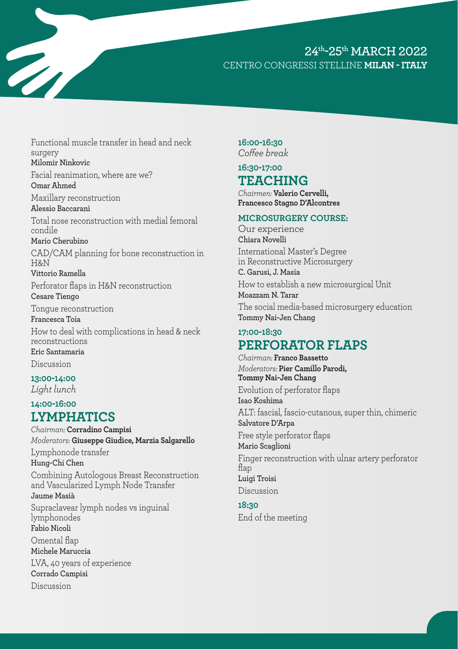#### **24th-25th MARCH 2022** CENTRO CONGRESSI STELLINE **MILAN - ITALY**

Functional muscle transfer in head and neck surgery **Milomir Ninkovic** Facial reanimation, where are we? **Omar Ahmed** Maxillary reconstruction **Alessio Baccarani** Total nose reconstruction with medial femoral condile **Mario Cherubino** CAD/CAM planning for bone reconstruction in H&N **Vittorio Ramella** Perforator flaps in H&N reconstruction **Cesare Tiengo** Tongue reconstruction **Francesca Toia** How to deal with complications in head & neck reconstructions **Eric Santamaria** Discussion **13:00-14:00** 

#### **14:00-16:00 LYMPHATICS**

*Light lunch*

*Chairman:* **Corradino Campisi** *Moderators:* **Giuseppe Giudice, Marzia Salgarello** Lymphonode transfer **Hung-Chi Chen** Combining Autologous Breast Reconstruction and Vascularized Lymph Node Transfer **Jaume Masià** Supraclavear lymph nodes vs inguinal lymphonodes **Fabio Nicoli** Omental flap **Michele Maruccia** LVA, 40 years of experience **Corrado Campisi** Discussion

**16:00-16:30** *Coffee break*

#### **16:30-17:00 TEACHING**

*Chairmen:* **Valerio Cervelli, Francesco Stagno D'Alcontres**

#### **MICROSURGERY COURSE:**

Our experience **Chiara Novelli** International Master's Degree in Reconstructive Microsurgery **C. Garusi, J. Masia**

How to establish a new microsurgical Unit **Moazzam N. Tarar**

The social media-based microsurgery education **Tommy Nai-Jen Chang**

#### **17:00-18:30 PERFORATOR FLAPS**

*Chairman:* **Franco Bassetto** *Moderators:* **Pier Camillo Parodi, Tommy Nai-Jen Chang** Evolution of perforator flaps **Isao Koshima** ALT: fascial, fascio-cutanous, super thin, chimeric **Salvatore D'Arpa** Free style perforator flaps **Mario Scaglioni** Finger reconstruction with ulnar artery perforator flap **Luigi Troisi** Discussion **18:30** 

End of the meeting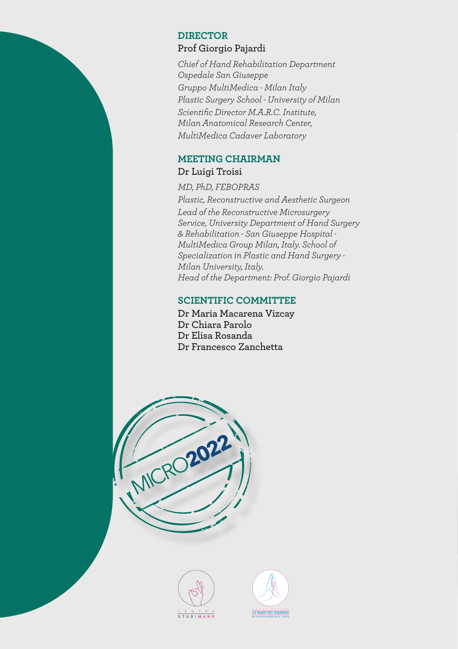#### **DIRECTOR**

#### **Prof Giorgio Pajardi**

*Chief of Hand Rehabilitation Department Ospedale San Giuseppe Gruppo MultiMedica - Milan Italy Plastic Surgery School - University of Milan Scientific Director M.A.R.C. Institute, Milan Anatomical Research Center, MultiMedica Cadaver Laboratory*

#### **MEETING CHAIRMAN**

**Dr Luigi Troisi**

*MD, PhD, FEBOPRAS Plastic, Reconstructive and Aesthetic Surgeon Lead of the Reconstructive Microsurgery Service, University Department of Hand Surgery & Rehabilitation - San Giuseppe Hospital - MultiMedica Group Milan, Italy. School of Specialization in Plastic and Hand Surgery - Milan University, Italy. Head of the Department: Prof. Giorgio Pajardi*

#### **SCIENTIFIC COMMITTEE**

**Dr Maria Macarena Vizcay Dr Chiara Parolo Dr Elisa Rosanda Dr Francesco Zanchetta**